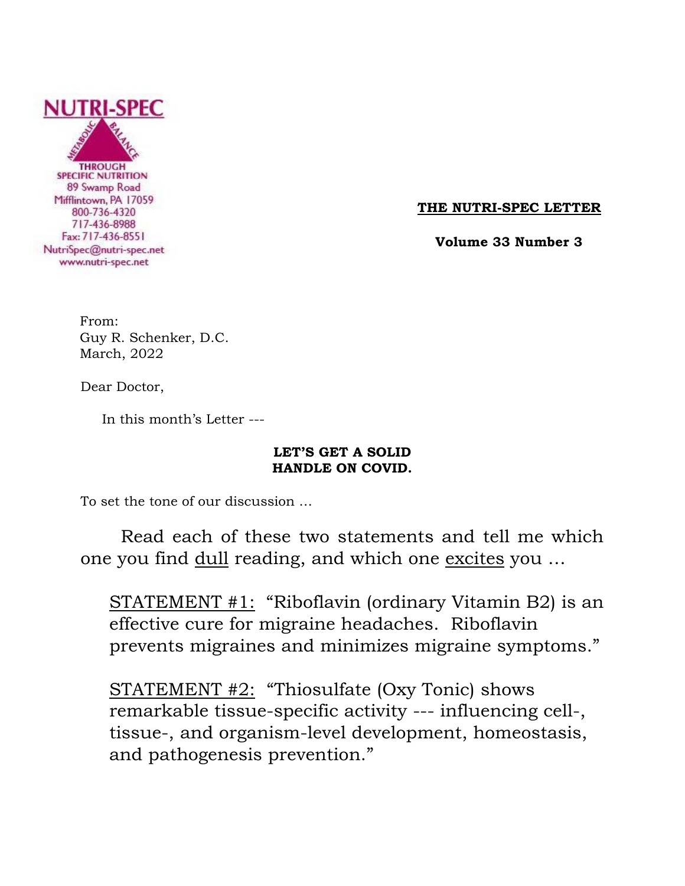

**THE NUTRI-SPEC LETTER**

 **Volume 33 Number 3**

From: Guy R. Schenker, D.C. March, 2022

Dear Doctor,

In this month's Letter ---

# **LET'S GET A SOLID HANDLE ON COVID.**

To set the tone of our discussion …

Read each of these two statements and tell me which one you find dull reading, and which one excites you ...

 STATEMENT #1: "Riboflavin (ordinary Vitamin B2) is an effective cure for migraine headaches. Riboflavin prevents migraines and minimizes migraine symptoms."

 STATEMENT #2: "Thiosulfate (Oxy Tonic) shows remarkable tissue-specific activity --- influencing cell-, tissue-, and organism-level development, homeostasis, and pathogenesis prevention."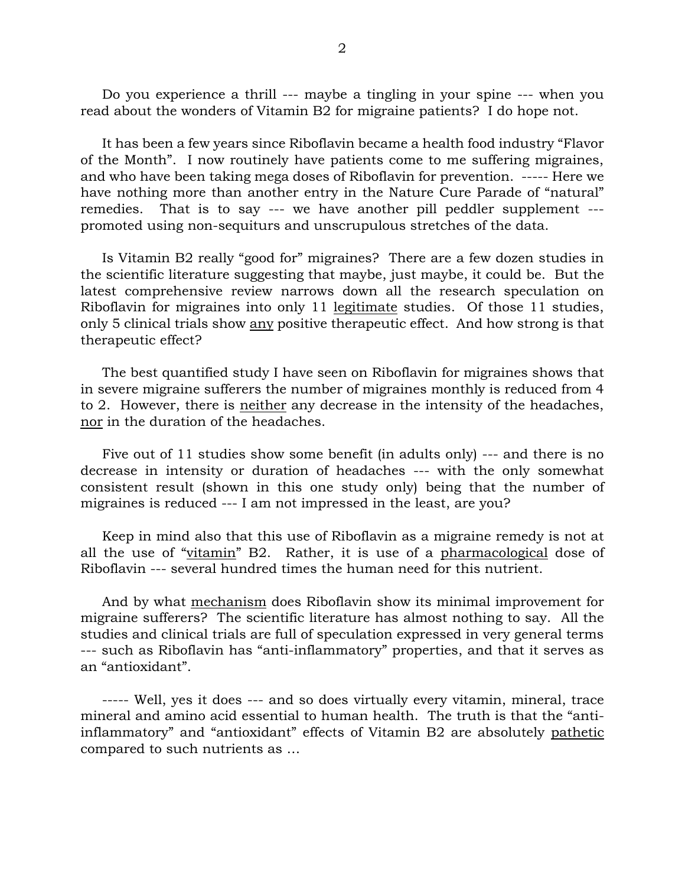Do you experience a thrill --- maybe a tingling in your spine --- when you read about the wonders of Vitamin B2 for migraine patients? I do hope not.

 It has been a few years since Riboflavin became a health food industry "Flavor of the Month". I now routinely have patients come to me suffering migraines, and who have been taking mega doses of Riboflavin for prevention. ----- Here we have nothing more than another entry in the Nature Cure Parade of "natural" remedies. That is to say --- we have another pill peddler supplement -- promoted using non-sequiturs and unscrupulous stretches of the data.

 Is Vitamin B2 really "good for" migraines? There are a few dozen studies in the scientific literature suggesting that maybe, just maybe, it could be. But the latest comprehensive review narrows down all the research speculation on Riboflavin for migraines into only 11 legitimate studies. Of those 11 studies, only 5 clinical trials show any positive therapeutic effect. And how strong is that therapeutic effect?

 The best quantified study I have seen on Riboflavin for migraines shows that in severe migraine sufferers the number of migraines monthly is reduced from 4 to 2. However, there is neither any decrease in the intensity of the headaches, nor in the duration of the headaches.

 Five out of 11 studies show some benefit (in adults only) --- and there is no decrease in intensity or duration of headaches --- with the only somewhat consistent result (shown in this one study only) being that the number of migraines is reduced --- I am not impressed in the least, are you?

 Keep in mind also that this use of Riboflavin as a migraine remedy is not at all the use of "vitamin" B2. Rather, it is use of a pharmacological dose of Riboflavin --- several hundred times the human need for this nutrient.

 And by what mechanism does Riboflavin show its minimal improvement for migraine sufferers? The scientific literature has almost nothing to say. All the studies and clinical trials are full of speculation expressed in very general terms --- such as Riboflavin has "anti-inflammatory" properties, and that it serves as an "antioxidant".

 ----- Well, yes it does --- and so does virtually every vitamin, mineral, trace mineral and amino acid essential to human health. The truth is that the "antiinflammatory" and "antioxidant" effects of Vitamin B2 are absolutely pathetic compared to such nutrients as …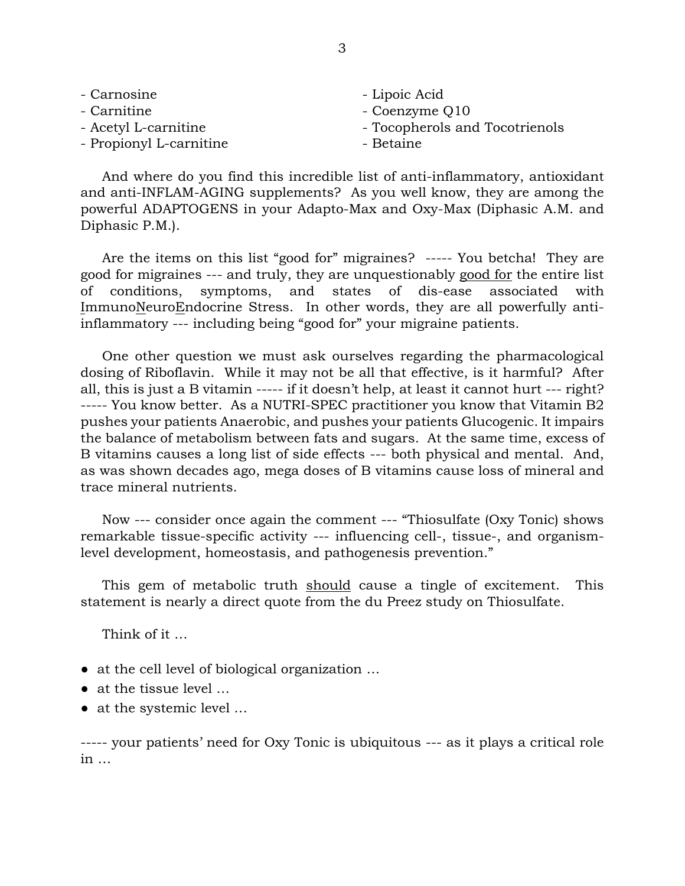| - Carnosine             | - Lipoic Acid                  |
|-------------------------|--------------------------------|
| - Carnitine             | - Coenzyme Q10                 |
| - Acetyl L-carnitine    | - Tocopherols and Tocotrienols |
| - Propionyl L-carnitine | - Betaine                      |

 And where do you find this incredible list of anti-inflammatory, antioxidant and anti-INFLAM-AGING supplements? As you well know, they are among the powerful ADAPTOGENS in your Adapto-Max and Oxy-Max (Diphasic A.M. and Diphasic P.M.).

 Are the items on this list "good for" migraines? ----- You betcha! They are good for migraines --- and truly, they are unquestionably good for the entire list of conditions, symptoms, and states of dis-ease associated with ImmunoNeuroEndocrine Stress. In other words, they are all powerfully antiinflammatory --- including being "good for" your migraine patients.

 One other question we must ask ourselves regarding the pharmacological dosing of Riboflavin. While it may not be all that effective, is it harmful? After all, this is just a B vitamin ----- if it doesn't help, at least it cannot hurt --- right? ----- You know better. As a NUTRI-SPEC practitioner you know that Vitamin B2 pushes your patients Anaerobic, and pushes your patients Glucogenic. It impairs the balance of metabolism between fats and sugars. At the same time, excess of B vitamins causes a long list of side effects --- both physical and mental. And, as was shown decades ago, mega doses of B vitamins cause loss of mineral and trace mineral nutrients.

 Now --- consider once again the comment --- "Thiosulfate (Oxy Tonic) shows remarkable tissue-specific activity --- influencing cell-, tissue-, and organismlevel development, homeostasis, and pathogenesis prevention."

 This gem of metabolic truth should cause a tingle of excitement. This statement is nearly a direct quote from the du Preez study on Thiosulfate.

Think of it …

- at the cell level of biological organization ...
- at the tissue level ...
- at the systemic level …

----- your patients' need for Oxy Tonic is ubiquitous --- as it plays a critical role in …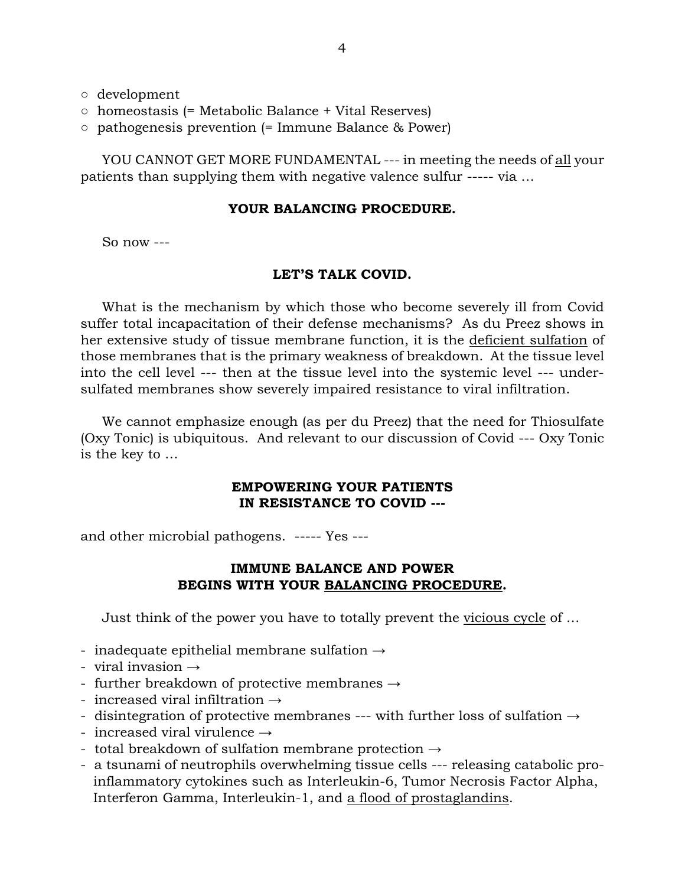- development
- homeostasis (= Metabolic Balance + Vital Reserves)
- $\circ$  pathogenesis prevention (= Immune Balance & Power)

 YOU CANNOT GET MORE FUNDAMENTAL --- in meeting the needs of all your patients than supplying them with negative valence sulfur ----- via …

### **YOUR BALANCING PROCEDURE.**

So now ---

#### **LET'S TALK COVID.**

 What is the mechanism by which those who become severely ill from Covid suffer total incapacitation of their defense mechanisms? As du Preez shows in her extensive study of tissue membrane function, it is the deficient sulfation of those membranes that is the primary weakness of breakdown. At the tissue level into the cell level --- then at the tissue level into the systemic level --- undersulfated membranes show severely impaired resistance to viral infiltration.

 We cannot emphasize enough (as per du Preez) that the need for Thiosulfate (Oxy Tonic) is ubiquitous. And relevant to our discussion of Covid --- Oxy Tonic is the key to …

## **EMPOWERING YOUR PATIENTS IN RESISTANCE TO COVID ---**

and other microbial pathogens. ----- Yes ---

## **IMMUNE BALANCE AND POWER BEGINS WITH YOUR BALANCING PROCEDURE.**

Just think of the power you have to totally prevent the vicious cycle of …

- inadequate epithelial membrane sulfation  $\rightarrow$
- viral invasion  $\rightarrow$
- further breakdown of protective membranes  $\rightarrow$
- increased viral infiltration  $\rightarrow$
- disintegration of protective membranes --- with further loss of sulfation  $\rightarrow$
- increased viral virulence  $\rightarrow$
- total breakdown of sulfation membrane protection  $\rightarrow$
- a tsunami of neutrophils overwhelming tissue cells --- releasing catabolic pro inflammatory cytokines such as Interleukin-6, Tumor Necrosis Factor Alpha, Interferon Gamma, Interleukin-1, and a flood of prostaglandins.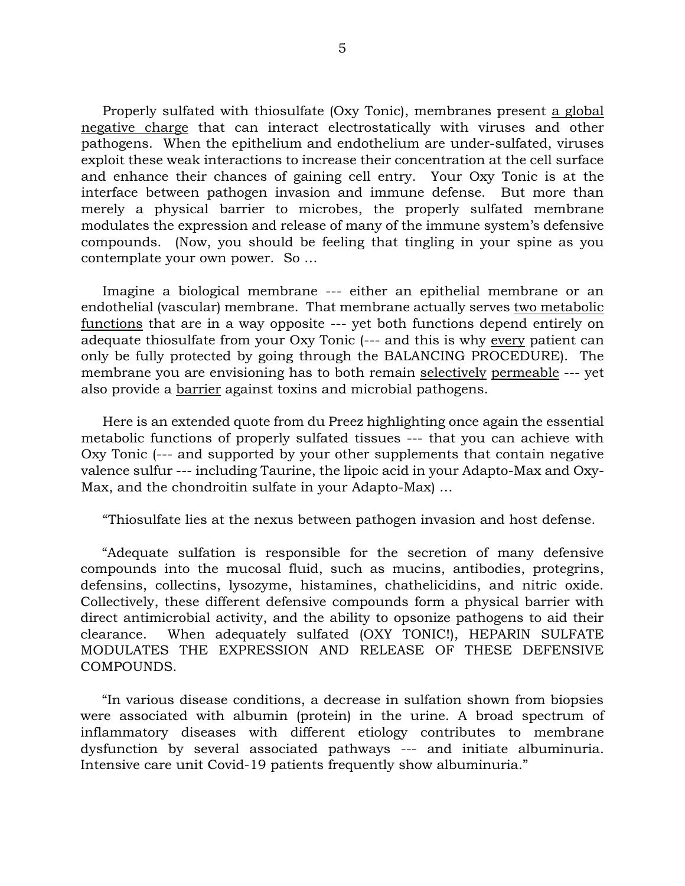Properly sulfated with thiosulfate (Oxy Tonic), membranes present a global negative charge that can interact electrostatically with viruses and other pathogens. When the epithelium and endothelium are under-sulfated, viruses exploit these weak interactions to increase their concentration at the cell surface and enhance their chances of gaining cell entry. Your Oxy Tonic is at the interface between pathogen invasion and immune defense. But more than merely a physical barrier to microbes, the properly sulfated membrane modulates the expression and release of many of the immune system's defensive compounds. (Now, you should be feeling that tingling in your spine as you contemplate your own power.So …

 Imagine a biological membrane --- either an epithelial membrane or an endothelial (vascular) membrane. That membrane actually serves two metabolic functions that are in a way opposite --- yet both functions depend entirely on adequate thiosulfate from your Oxy Tonic (--- and this is why every patient can only be fully protected by going through the BALANCING PROCEDURE). The membrane you are envisioning has to both remain selectively permeable --- yet also provide a barrier against toxins and microbial pathogens.

 Here is an extended quote from du Preez highlighting once again the essential metabolic functions of properly sulfated tissues --- that you can achieve with Oxy Tonic (--- and supported by your other supplements that contain negative valence sulfur --- including Taurine, the lipoic acid in your Adapto-Max and Oxy-Max, and the chondroitin sulfate in your Adapto-Max) …

"Thiosulfate lies at the nexus between pathogen invasion and host defense.

 "Adequate sulfation is responsible for the secretion of many defensive compounds into the mucosal fluid, such as mucins, antibodies, protegrins, defensins, collectins, lysozyme, histamines, chathelicidins, and nitric oxide. Collectively, these different defensive compounds form a physical barrier with direct antimicrobial activity, and the ability to opsonize pathogens to aid their clearance. When adequately sulfated (OXY TONIC!), HEPARIN SULFATE MODULATES THE EXPRESSION AND RELEASE OF THESE DEFENSIVE COMPOUNDS.

 "In various disease conditions, a decrease in sulfation shown from biopsies were associated with albumin (protein) in the urine. A broad spectrum of inflammatory diseases with different etiology contributes to membrane dysfunction by several associated pathways --- and initiate albuminuria. Intensive care unit Covid-19 patients frequently show albuminuria."